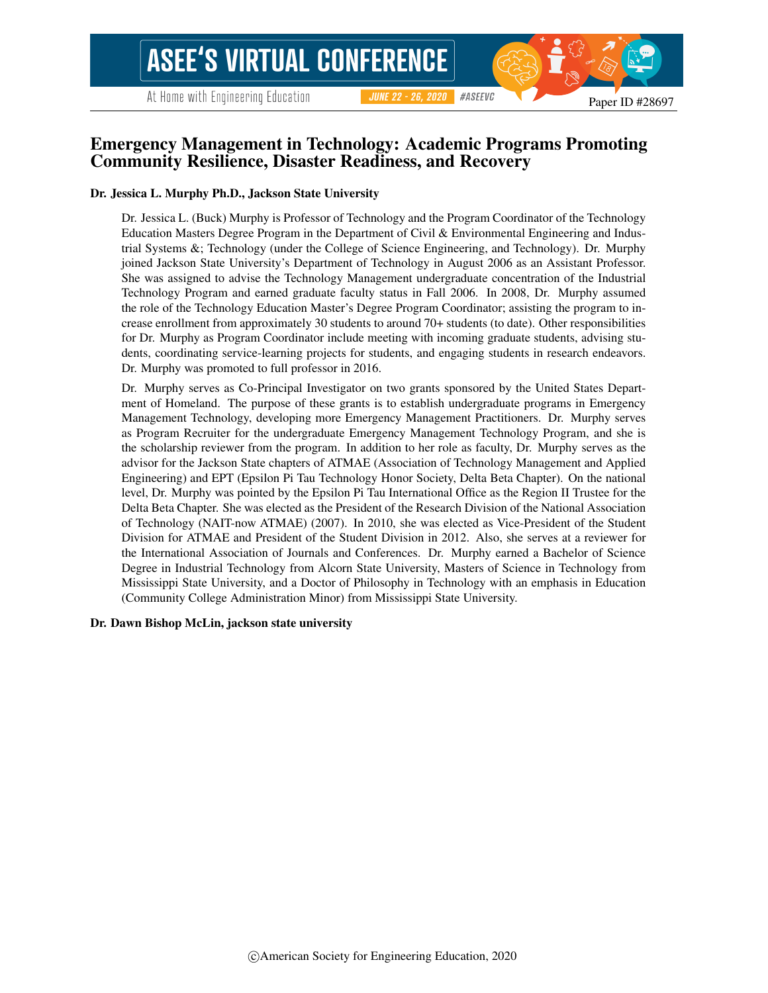Paper ID #28697

# Emergency Management in Technology: Academic Programs Promoting Community Resilience, Disaster Readiness, and Recovery

#### Dr. Jessica L. Murphy Ph.D., Jackson State University

Dr. Jessica L. (Buck) Murphy is Professor of Technology and the Program Coordinator of the Technology Education Masters Degree Program in the Department of Civil & Environmental Engineering and Industrial Systems &; Technology (under the College of Science Engineering, and Technology). Dr. Murphy joined Jackson State University's Department of Technology in August 2006 as an Assistant Professor. She was assigned to advise the Technology Management undergraduate concentration of the Industrial Technology Program and earned graduate faculty status in Fall 2006. In 2008, Dr. Murphy assumed the role of the Technology Education Master's Degree Program Coordinator; assisting the program to increase enrollment from approximately 30 students to around 70+ students (to date). Other responsibilities for Dr. Murphy as Program Coordinator include meeting with incoming graduate students, advising students, coordinating service-learning projects for students, and engaging students in research endeavors. Dr. Murphy was promoted to full professor in 2016.

Dr. Murphy serves as Co-Principal Investigator on two grants sponsored by the United States Department of Homeland. The purpose of these grants is to establish undergraduate programs in Emergency Management Technology, developing more Emergency Management Practitioners. Dr. Murphy serves as Program Recruiter for the undergraduate Emergency Management Technology Program, and she is the scholarship reviewer from the program. In addition to her role as faculty, Dr. Murphy serves as the advisor for the Jackson State chapters of ATMAE (Association of Technology Management and Applied Engineering) and EPT (Epsilon Pi Tau Technology Honor Society, Delta Beta Chapter). On the national level, Dr. Murphy was pointed by the Epsilon Pi Tau International Office as the Region II Trustee for the Delta Beta Chapter. She was elected as the President of the Research Division of the National Association of Technology (NAIT-now ATMAE) (2007). In 2010, she was elected as Vice-President of the Student Division for ATMAE and President of the Student Division in 2012. Also, she serves at a reviewer for the International Association of Journals and Conferences. Dr. Murphy earned a Bachelor of Science Degree in Industrial Technology from Alcorn State University, Masters of Science in Technology from Mississippi State University, and a Doctor of Philosophy in Technology with an emphasis in Education (Community College Administration Minor) from Mississippi State University.

#### Dr. Dawn Bishop McLin, jackson state university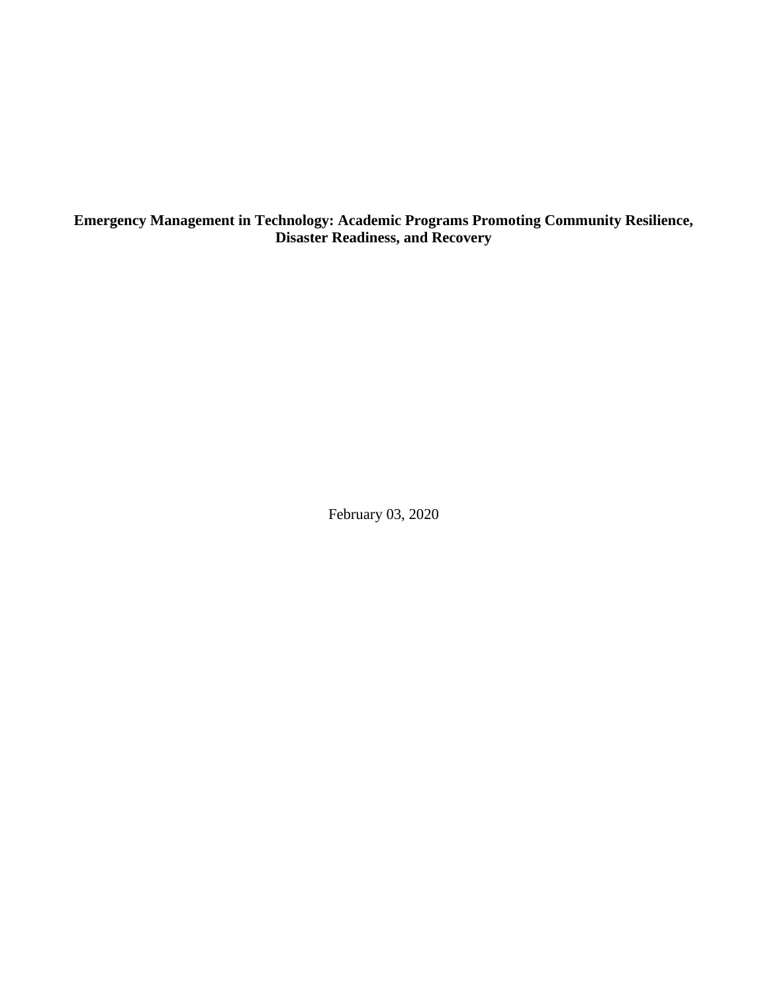**Emergency Management in Technology: Academic Programs Promoting Community Resilience, Disaster Readiness, and Recovery**

February 03, 2020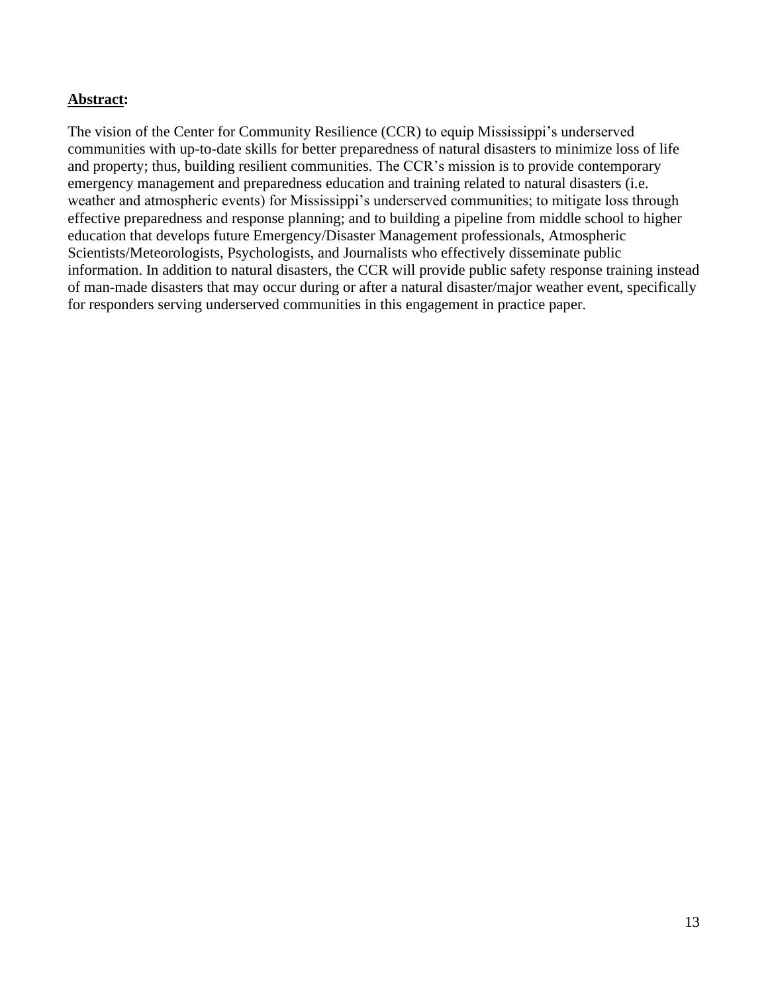## **Abstract:**

The vision of the Center for Community Resilience (CCR) to equip Mississippi's underserved communities with up-to-date skills for better preparedness of natural disasters to minimize loss of life and property; thus, building resilient communities. The CCR's mission is to provide contemporary emergency management and preparedness education and training related to natural disasters (i.e. weather and atmospheric events) for Mississippi's underserved communities; to mitigate loss through effective preparedness and response planning; and to building a pipeline from middle school to higher education that develops future Emergency/Disaster Management professionals, Atmospheric Scientists/Meteorologists, Psychologists, and Journalists who effectively disseminate public information. In addition to natural disasters, the CCR will provide public safety response training instead of man-made disasters that may occur during or after a natural disaster/major weather event, specifically for responders serving underserved communities in this engagement in practice paper.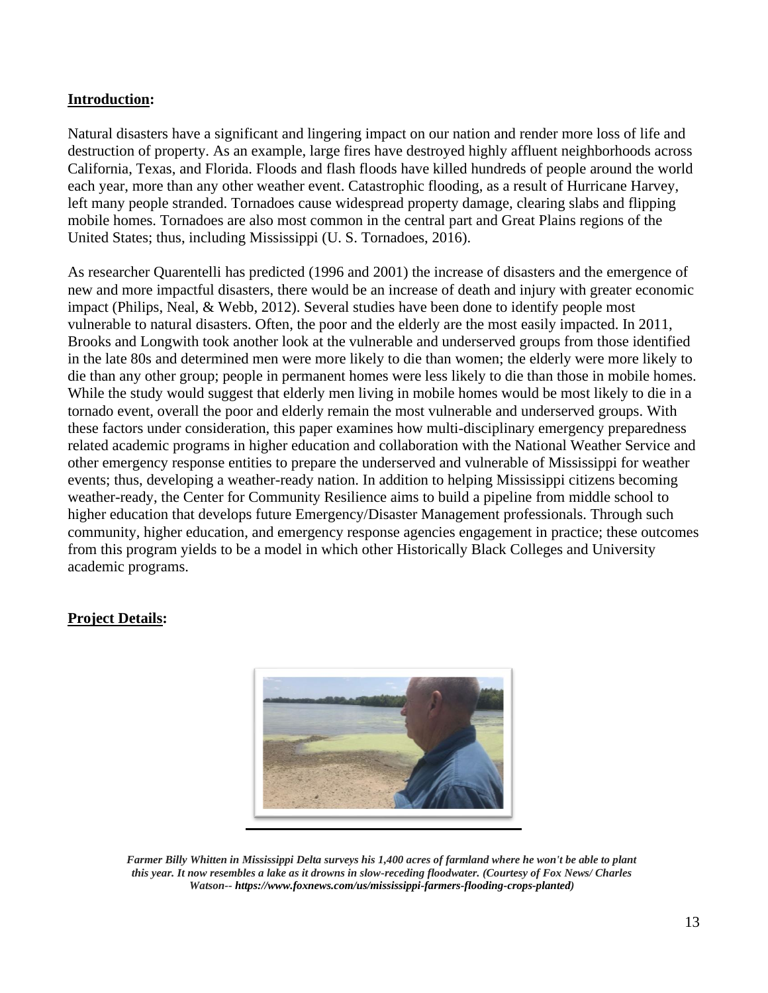## **Introduction:**

Natural disasters have a significant and lingering impact on our nation and render more loss of life and destruction of property. As an example, large fires have destroyed highly affluent neighborhoods across California, Texas, and Florida. Floods and flash floods have killed hundreds of people around the world each year, more than any other weather event. Catastrophic flooding, as a result of Hurricane Harvey, left many people stranded. Tornadoes cause widespread property damage, clearing slabs and flipping mobile homes. Tornadoes are also most common in the central part and Great Plains regions of the United States; thus, including Mississippi (U. S. Tornadoes, 2016).

As researcher Quarentelli has predicted (1996 and 2001) the increase of disasters and the emergence of new and more impactful disasters, there would be an increase of death and injury with greater economic impact (Philips, Neal, & Webb, 2012). Several studies have been done to identify people most vulnerable to natural disasters. Often, the poor and the elderly are the most easily impacted. In 2011, Brooks and Longwith took another look at the vulnerable and underserved groups from those identified in the late 80s and determined men were more likely to die than women; the elderly were more likely to die than any other group; people in permanent homes were less likely to die than those in mobile homes. While the study would suggest that elderly men living in mobile homes would be most likely to die in a tornado event, overall the poor and elderly remain the most vulnerable and underserved groups. With these factors under consideration, this paper examines how multi-disciplinary emergency preparedness related academic programs in higher education and collaboration with the National Weather Service and other emergency response entities to prepare the underserved and vulnerable of Mississippi for weather events; thus, developing a weather-ready nation. In addition to helping Mississippi citizens becoming weather-ready, the Center for Community Resilience aims to build a pipeline from middle school to higher education that develops future Emergency/Disaster Management professionals. Through such community, higher education, and emergency response agencies engagement in practice; these outcomes from this program yields to be a model in which other Historically Black Colleges and University academic programs.

# **Project Details:**



*Farmer Billy Whitten in Mississippi Delta surveys his 1,400 acres of farmland where he won't be able to plant this year. It now resembles a lake as it drowns in slow-receding floodwater. (Courtesy of Fox News/ Charles Watson-- https://www.foxnews.com/us/mississippi-farmers-flooding-crops-planted)*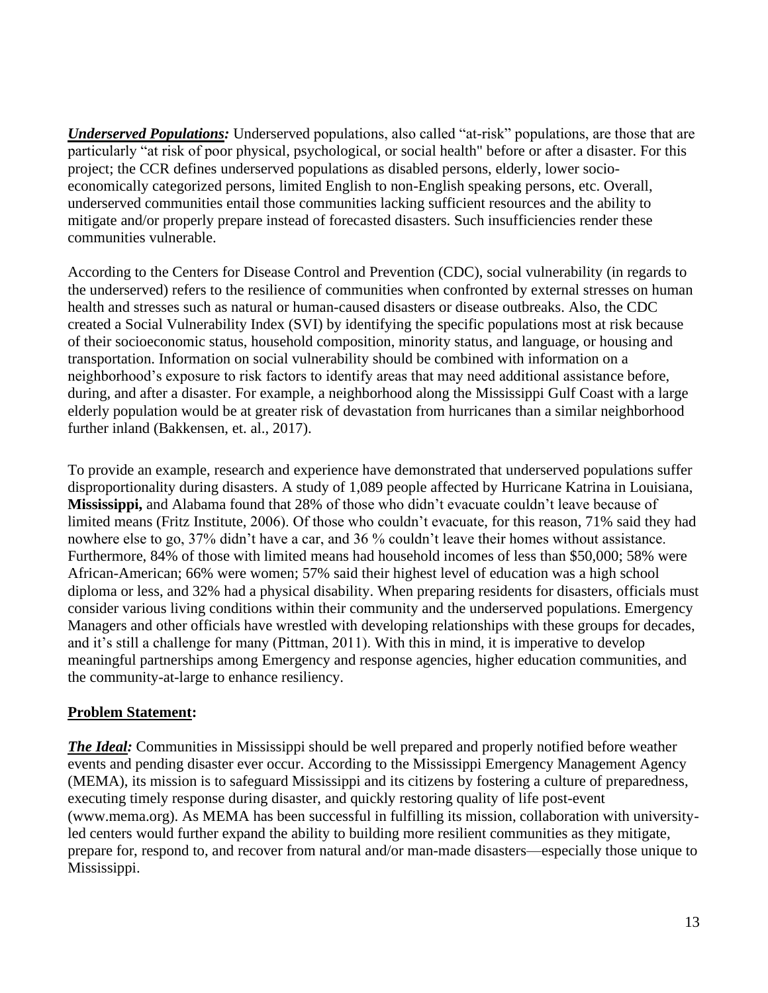*Underserved Populations:* Underserved populations, also called "at-risk" populations, are those that are particularly "at risk of poor physical, psychological, or social health" before or after a disaster. For this project; the CCR defines underserved populations as disabled persons, elderly, lower socioeconomically categorized persons, limited English to non-English speaking persons, etc. Overall, underserved communities entail those communities lacking sufficient resources and the ability to mitigate and/or properly prepare instead of forecasted disasters. Such insufficiencies render these communities vulnerable.

According to the Centers for Disease Control and Prevention (CDC), social vulnerability (in regards to the underserved) refers to the resilience of communities when confronted by external stresses on human health and stresses such as natural or human-caused disasters or disease outbreaks. Also, the CDC created a Social Vulnerability Index (SVI) by identifying the specific populations most at risk because of their socioeconomic status, household composition, minority status, and language, or housing and transportation. Information on social vulnerability should be combined with information on a neighborhood's exposure to risk factors to identify areas that may need additional assistance before, during, and after a disaster. For example, a neighborhood along the Mississippi Gulf Coast with a large elderly population would be at greater risk of devastation from hurricanes than a similar neighborhood further inland (Bakkensen, et. al., 2017).

To provide an example, research and experience have demonstrated that underserved populations suffer disproportionality during disasters. A study of 1,089 people affected by Hurricane Katrina in Louisiana, **Mississippi,** and Alabama found that 28% of those who didn't evacuate couldn't leave because of limited means (Fritz Institute, 2006). Of those who couldn't evacuate, for this reason, 71% said they had nowhere else to go, 37% didn't have a car, and 36 % couldn't leave their homes without assistance. Furthermore, 84% of those with limited means had household incomes of less than \$50,000; 58% were African-American; 66% were women; 57% said their highest level of education was a high school diploma or less, and 32% had a physical disability. When preparing residents for disasters, officials must consider various living conditions within their community and the underserved populations. Emergency Managers and other officials have wrestled with developing relationships with these groups for decades, and it's still a challenge for many (Pittman, 2011). With this in mind, it is imperative to develop meaningful partnerships among Emergency and response agencies, higher education communities, and the community-at-large to enhance resiliency.

## **Problem Statement:**

*The Ideal:* Communities in Mississippi should be well prepared and properly notified before weather events and pending disaster ever occur. According to the Mississippi Emergency Management Agency (MEMA), its mission is to safeguard Mississippi and its citizens by fostering a culture of preparedness, executing timely response during disaster, and quickly restoring quality of life post-event (www.mema.org). As MEMA has been successful in fulfilling its mission, collaboration with universityled centers would further expand the ability to building more resilient communities as they mitigate, prepare for, respond to, and recover from natural and/or man-made disasters—especially those unique to Mississippi.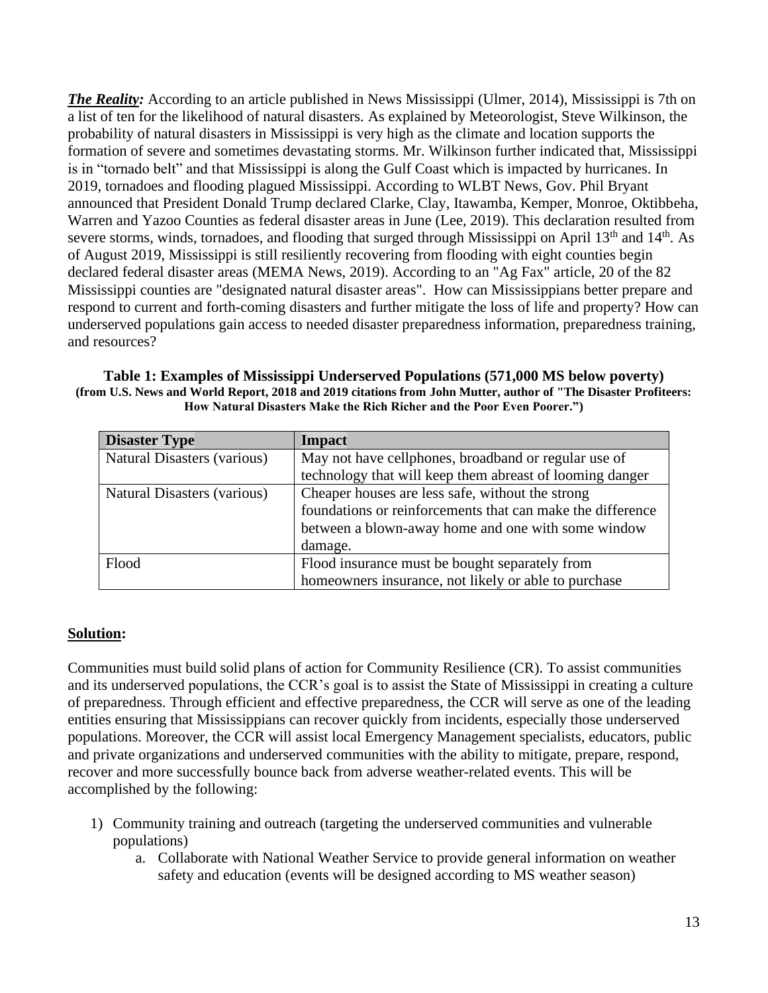*The Reality:* According to an article published in News Mississippi (Ulmer, 2014), Mississippi is 7th on a list of ten for the likelihood of natural disasters. As explained by Meteorologist, Steve Wilkinson, the probability of natural disasters in Mississippi is very high as the climate and location supports the formation of severe and sometimes devastating storms. Mr. Wilkinson further indicated that, Mississippi is in "tornado belt" and that Mississippi is along the Gulf Coast which is impacted by hurricanes. In 2019, tornadoes and flooding plagued Mississippi. According to WLBT News, Gov. Phil Bryant announced that President Donald Trump declared Clarke, Clay, Itawamba, Kemper, Monroe, Oktibbeha, Warren and Yazoo Counties as federal disaster areas in June (Lee, 2019). This declaration resulted from severe storms, winds, tornadoes, and flooding that surged through Mississippi on April  $13<sup>th</sup>$  and  $14<sup>th</sup>$ . As of August 2019, Mississippi is still resiliently recovering from flooding with eight counties begin declared federal disaster areas (MEMA News, 2019). According to an "Ag Fax" article, 20 of the 82 Mississippi counties are "designated natural disaster areas". How can Mississippians better prepare and respond to current and forth-coming disasters and further mitigate the loss of life and property? How can underserved populations gain access to needed disaster preparedness information, preparedness training, and resources?

| Table 1: Examples of Mississippi Underserved Populations (571,000 MS below poverty)                             |
|-----------------------------------------------------------------------------------------------------------------|
| (from U.S. News and World Report, 2018 and 2019 citations from John Mutter, author of "The Disaster Profiteers: |
| How Natural Disasters Make the Rich Richer and the Poor Even Poorer.")                                          |

| <b>Disaster Type</b>               | <b>Impact</b>                                              |
|------------------------------------|------------------------------------------------------------|
| <b>Natural Disasters (various)</b> | May not have cellphones, broadband or regular use of       |
|                                    | technology that will keep them abreast of looming danger   |
| Natural Disasters (various)        | Cheaper houses are less safe, without the strong           |
|                                    | foundations or reinforcements that can make the difference |
|                                    | between a blown-away home and one with some window         |
|                                    | damage.                                                    |
| Flood                              | Flood insurance must be bought separately from             |
|                                    | homeowners insurance, not likely or able to purchase       |

#### **Solution:**

Communities must build solid plans of action for Community Resilience (CR). To assist communities and its underserved populations, the CCR's goal is to assist the State of Mississippi in creating a culture of preparedness. Through efficient and effective preparedness, the CCR will serve as one of the leading entities ensuring that Mississippians can recover quickly from incidents, especially those underserved populations. Moreover, the CCR will assist local Emergency Management specialists, educators, public and private organizations and underserved communities with the ability to mitigate, prepare, respond, recover and more successfully bounce back from adverse weather-related events. This will be accomplished by the following:

- 1) Community training and outreach (targeting the underserved communities and vulnerable populations)
	- a. Collaborate with National Weather Service to provide general information on weather safety and education (events will be designed according to MS weather season)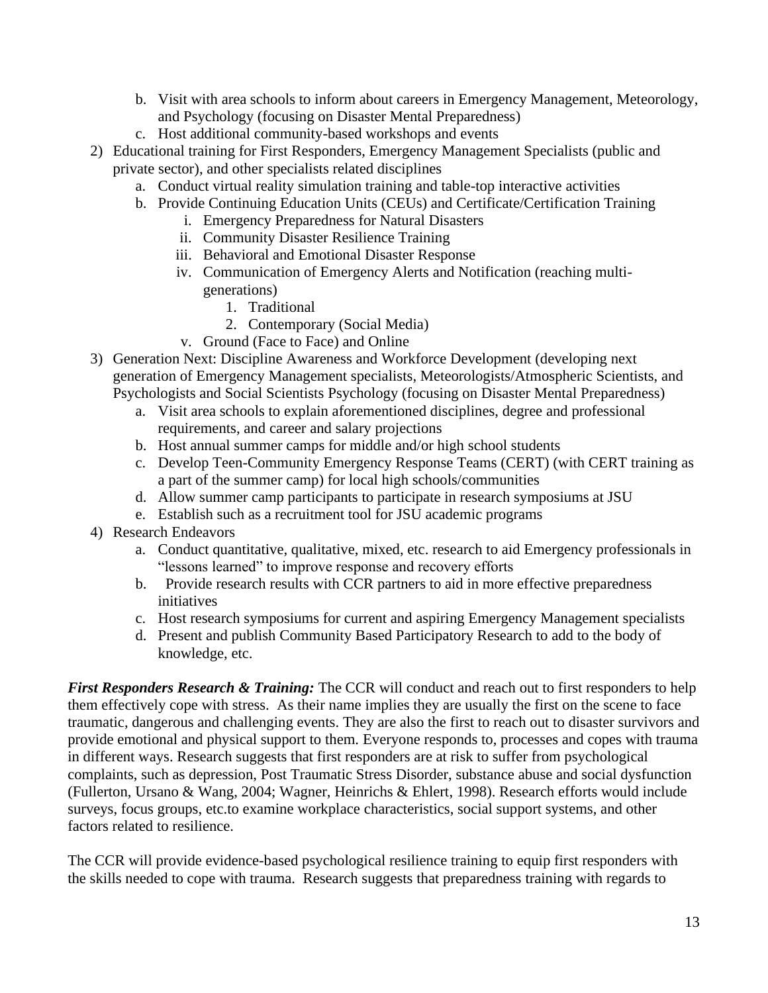- b. Visit with area schools to inform about careers in Emergency Management, Meteorology, and Psychology (focusing on Disaster Mental Preparedness)
- c. Host additional community-based workshops and events
- 2) Educational training for First Responders, Emergency Management Specialists (public and private sector), and other specialists related disciplines
	- a. Conduct virtual reality simulation training and table-top interactive activities
	- b. Provide Continuing Education Units (CEUs) and Certificate/Certification Training
		- i. Emergency Preparedness for Natural Disasters
		- ii. Community Disaster Resilience Training
		- iii. Behavioral and Emotional Disaster Response
		- iv. Communication of Emergency Alerts and Notification (reaching multigenerations)
			- 1. Traditional
			- 2. Contemporary (Social Media)
		- v. Ground (Face to Face) and Online
- 3) Generation Next: Discipline Awareness and Workforce Development (developing next generation of Emergency Management specialists, Meteorologists/Atmospheric Scientists, and Psychologists and Social Scientists Psychology (focusing on Disaster Mental Preparedness)
	- a. Visit area schools to explain aforementioned disciplines, degree and professional requirements, and career and salary projections
	- b. Host annual summer camps for middle and/or high school students
	- c. Develop Teen-Community Emergency Response Teams (CERT) (with CERT training as a part of the summer camp) for local high schools/communities
	- d. Allow summer camp participants to participate in research symposiums at JSU
	- e. Establish such as a recruitment tool for JSU academic programs
- 4) Research Endeavors
	- a. Conduct quantitative, qualitative, mixed, etc. research to aid Emergency professionals in "lessons learned" to improve response and recovery efforts
	- b. Provide research results with CCR partners to aid in more effective preparedness initiatives
	- c. Host research symposiums for current and aspiring Emergency Management specialists
	- d. Present and publish Community Based Participatory Research to add to the body of knowledge, etc.

*First Responders Research & Training:* The CCR will conduct and reach out to first responders to help them effectively cope with stress. As their name implies they are usually the first on the scene to face traumatic, dangerous and challenging events. They are also the first to reach out to disaster survivors and provide emotional and physical support to them. Everyone responds to, processes and copes with trauma in different ways. Research suggests that first responders are at risk to suffer from psychological complaints, such as depression, Post Traumatic Stress Disorder, substance abuse and social dysfunction (Fullerton, Ursano & Wang, 2004; Wagner, Heinrichs & Ehlert, 1998). Research efforts would include surveys, focus groups, etc.to examine workplace characteristics, social support systems, and other factors related to resilience.

The CCR will provide evidence-based psychological resilience training to equip first responders with the skills needed to cope with trauma. Research suggests that preparedness training with regards to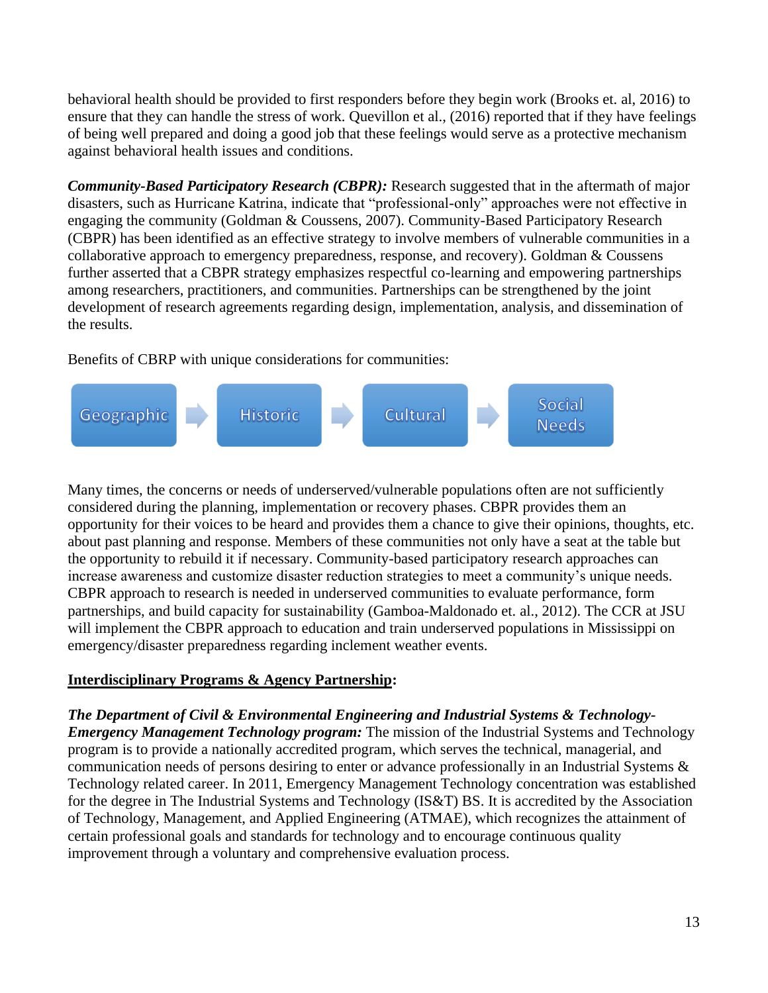behavioral health should be provided to first responders before they begin work (Brooks et. al, 2016) to ensure that they can handle the stress of work. Quevillon et al., (2016) reported that if they have feelings of being well prepared and doing a good job that these feelings would serve as a protective mechanism against behavioral health issues and conditions.

*Community-Based Participatory Research (CBPR):* Research suggested that in the aftermath of major disasters, such as Hurricane Katrina, indicate that "professional-only" approaches were not effective in engaging the community [\(Goldman & Coussens, 2007\)](about:blank#R22). Community-Based Participatory Research (CBPR) has been identified as an effective strategy to involve members of vulnerable communities in a collaborative approach to emergency preparedness, response, and recovery). Goldman & Coussens further asserted that a CBPR strategy emphasizes respectful co-learning and empowering partnerships among researchers, practitioners, and communities. Partnerships can be strengthened by the joint development of research agreements regarding design, implementation, analysis, and dissemination of the results.

Benefits of CBRP with unique considerations for communities:



Many times, the concerns or needs of underserved/vulnerable populations often are not sufficiently considered during the planning, implementation or recovery phases. CBPR provides them an opportunity for their voices to be heard and provides them a chance to give their opinions, thoughts, etc. about past planning and response. Members of these communities not only have a seat at the table but the opportunity to rebuild it if necessary. Community-based participatory research approaches can increase awareness and customize disaster reduction strategies to meet a community's unique needs. CBPR approach to research is needed in underserved communities to evaluate performance, form partnerships, and build capacity for sustainability (Gamboa-Maldonado et. al., 2012). The CCR at JSU will implement the CBPR approach to education and train underserved populations in Mississippi on emergency/disaster preparedness regarding inclement weather events.

# **Interdisciplinary Programs & Agency Partnership:**

# *The Department of Civil & Environmental Engineering and Industrial Systems & Technology-*

*Emergency Management Technology program:* The mission of the Industrial Systems and Technology program is to provide a nationally accredited program, which serves the technical, managerial, and communication needs of persons desiring to enter or advance professionally in an Industrial Systems & Technology related career. In 2011, Emergency Management Technology concentration was established for the degree in The Industrial Systems and Technology (IS&T) BS. It is accredited by the Association of Technology, Management, and Applied Engineering (ATMAE), which recognizes the attainment of certain professional goals and standards for technology and to encourage continuous quality improvement through a voluntary and comprehensive evaluation process.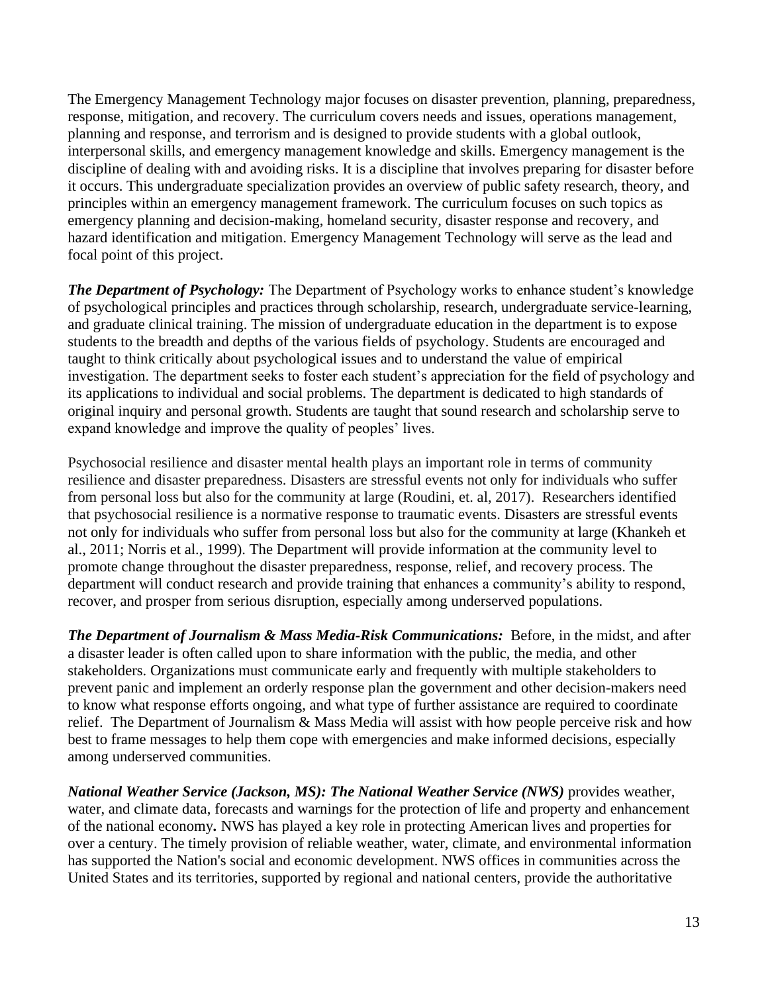The Emergency Management Technology major focuses on disaster prevention, planning, preparedness, response, mitigation, and recovery. The curriculum covers needs and issues, operations management, planning and response, and terrorism and is designed to provide students with a global outlook, interpersonal skills, and emergency management knowledge and skills. Emergency management is the discipline of dealing with and avoiding risks. It is a discipline that involves preparing for disaster before it occurs. This undergraduate specialization provides an overview of public safety research, theory, and principles within an emergency management framework. The curriculum focuses on such topics as emergency planning and decision-making, homeland security, disaster response and recovery, and hazard identification and mitigation. Emergency Management Technology will serve as the lead and focal point of this project.

*The Department of Psychology:* The Department of Psychology works to enhance student's knowledge of psychological principles and practices through scholarship, research, undergraduate service-learning, and graduate clinical training. The mission of undergraduate education in the department is to expose students to the breadth and depths of the various fields of psychology. Students are encouraged and taught to think critically about psychological issues and to understand the value of empirical investigation. The department seeks to foster each student's appreciation for the field of psychology and its applications to individual and social problems. The department is dedicated to high standards of original inquiry and personal growth. Students are taught that sound research and scholarship serve to expand knowledge and improve the quality of peoples' lives.

Psychosocial resilience and disaster mental health plays an important role in terms of community resilience and disaster preparedness. Disasters are stressful events not only for individuals who suffer from personal loss but also for the community at large (Roudini, et. al, 2017). Researchers identified that psychosocial resilience is a normative response to traumatic events. Disasters are stressful events not only for individuals who suffer from personal loss but also for the community at large (Khankeh et al., 2011; Norris et al., 1999). The Department will provide information at the community level to promote change throughout the disaster preparedness, response, relief, and recovery process. The department will conduct research and provide training that enhances a community's ability to respond, recover, and prosper from serious disruption, especially among underserved populations.

*The Department of Journalism & Mass Media-Risk Communications:* Before, in the midst, and after a disaster leader is often called upon to share information with the public, the media, and other stakeholders. Organizations must communicate early and frequently with multiple stakeholders to prevent panic and implement an orderly response plan the government and other decision-makers need to know what response efforts ongoing, and what type of further assistance are required to coordinate relief. The Department of Journalism & Mass Media will assist with how people perceive risk and how best to frame messages to help them cope with emergencies and make informed decisions, especially among underserved communities.

*National Weather Service (Jackson, MS): The National Weather Service (NWS)* provides weather, water, and climate data, forecasts and warnings for the protection of life and property and enhancement of the national economy*.* NWS has played a key role in protecting American lives and properties for over a century. The timely provision of reliable weather, water, climate, and environmental information has supported the Nation's social and economic development. NWS offices in communities across the United States and its territories, supported by regional and national centers, provide the authoritative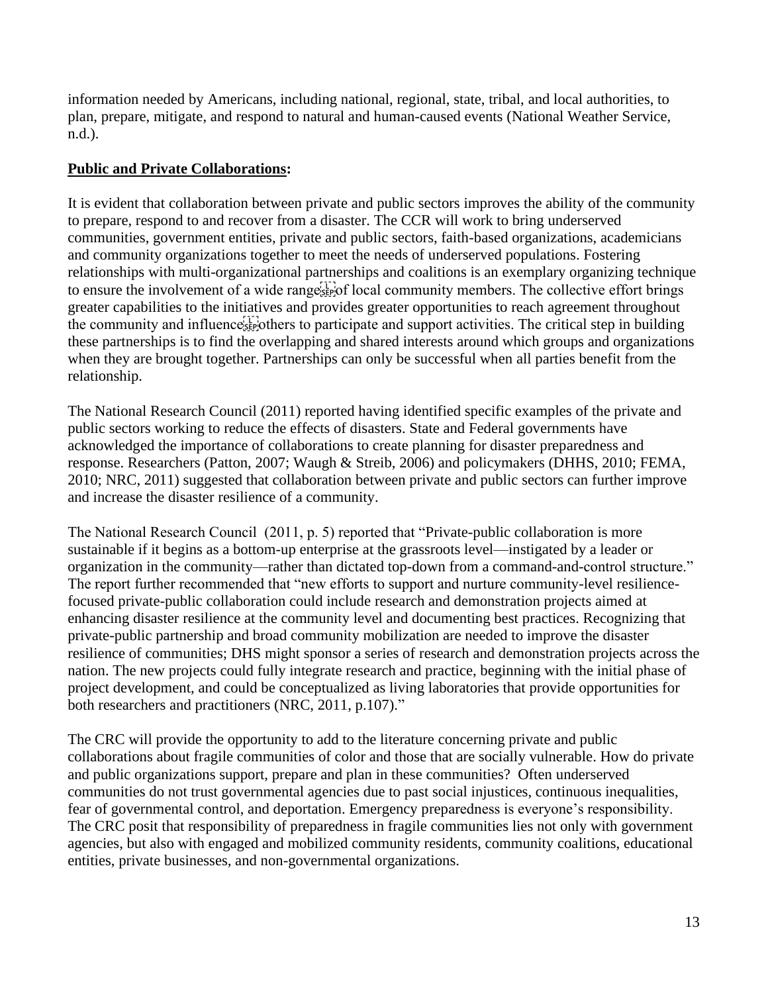information needed by Americans, including national, regional, state, tribal, and local authorities, to plan, prepare, mitigate, and respond to natural and human-caused events (National Weather Service, n.d.).

# **Public and Private Collaborations:**

It is evident that collaboration between private and public sectors improves the ability of the community to prepare, respond to and recover from a disaster. The CCR will work to bring underserved communities, government entities, private and public sectors, faith-based organizations, academicians and community organizations together to meet the needs of underserved populations. Fostering relationships with multi-organizational partnerships and coalitions is an exemplary organizing technique to ensure the involvement of a wide range  $\mathbb{E}[\mathcal{C}]$  local community members. The collective effort brings greater capabilities to the initiatives and provides greater opportunities to reach agreement throughout the community and influence  $\mathbb{E}[\mathbf{F}]$  others to participate and support activities. The critical step in building these partnerships is to find the overlapping and shared interests around which groups and organizations when they are brought together. Partnerships can only be successful when all parties benefit from the relationship.

The National Research Council (2011) reported having identified specific examples of the private and public sectors working to reduce the effects of disasters. State and Federal governments have acknowledged the importance of collaborations to create planning for disaster preparedness and response. Researchers (Patton, 2007; Waugh & Streib, 2006) and policymakers (DHHS, 2010; FEMA, 2010; NRC, 2011) suggested that collaboration between private and public sectors can further improve and increase the disaster resilience of a community.

The National Research Council (2011, p. 5) reported that "Private-public collaboration is more sustainable if it begins as a bottom-up enterprise at the grassroots level—instigated by a leader or organization in the community—rather than dictated top-down from a command-and-control structure." The report further recommended that "new efforts to support and nurture community-level resiliencefocused private-public collaboration could include research and demonstration projects aimed at enhancing disaster resilience at the community level and documenting best practices. Recognizing that private-public partnership and broad community mobilization are needed to improve the disaster resilience of communities; DHS might sponsor a series of research and demonstration projects across the nation. The new projects could fully integrate research and practice, beginning with the initial phase of project development, and could be conceptualized as living laboratories that provide opportunities for both researchers and practitioners (NRC, 2011, p.107)."

The CRC will provide the opportunity to add to the literature concerning private and public collaborations about fragile communities of color and those that are socially vulnerable. How do private and public organizations support, prepare and plan in these communities? Often underserved communities do not trust governmental agencies due to past social injustices, continuous inequalities, fear of governmental control, and deportation. Emergency preparedness is everyone's responsibility. The CRC posit that responsibility of preparedness in fragile communities lies not only with government agencies, but also with engaged and mobilized community residents, community coalitions, educational entities, private businesses, and non-governmental organizations.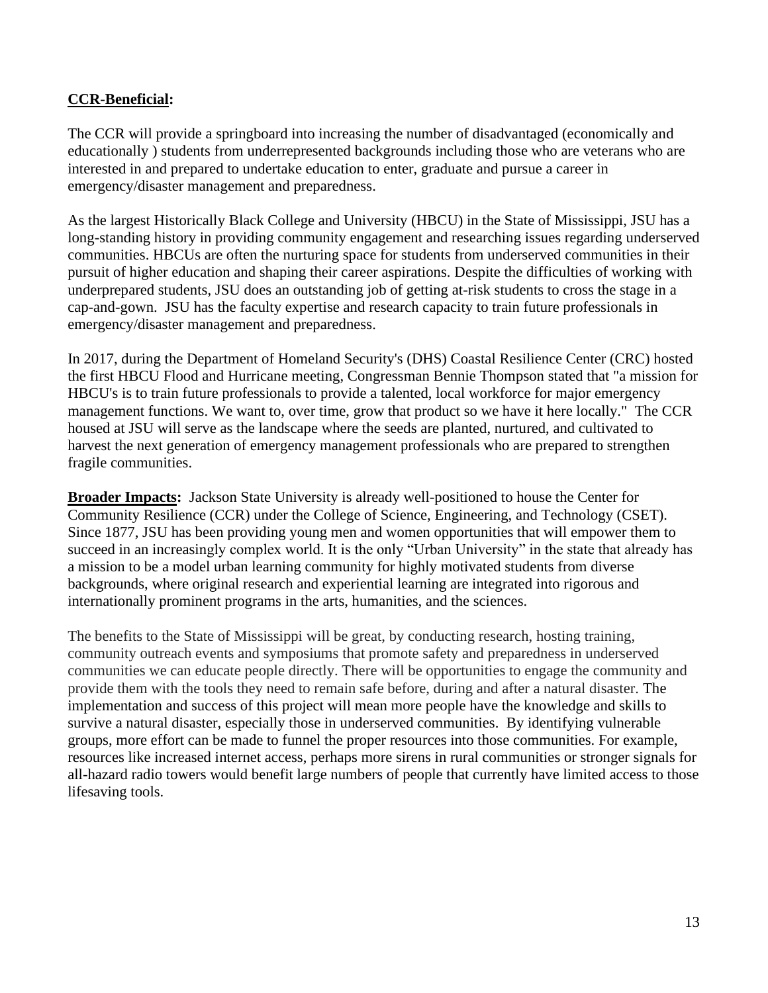# **CCR-Beneficial:**

The CCR will provide a springboard into increasing the number of disadvantaged (economically and educationally ) students from underrepresented backgrounds including those who are veterans who are interested in and prepared to undertake education to enter, graduate and pursue a career in emergency/disaster management and preparedness.

As the largest Historically Black College and University (HBCU) in the State of Mississippi, JSU has a long-standing history in providing community engagement and researching issues regarding underserved communities. HBCUs are often the nurturing space for students from underserved communities in their pursuit of higher education and shaping their career aspirations. Despite the difficulties of working with underprepared students, JSU does an outstanding job of getting at-risk students to cross the stage in a cap-and-gown. JSU has the faculty expertise and research capacity to train future professionals in emergency/disaster management and preparedness.

In 2017, during the Department of Homeland Security's (DHS) Coastal Resilience Center (CRC) hosted the first HBCU Flood and Hurricane meeting, Congressman Bennie Thompson stated that "a mission for HBCU's is to train future professionals to provide a talented, local workforce for major emergency management functions. We want to, over time, grow that product so we have it here locally." The CCR housed at JSU will serve as the landscape where the seeds are planted, nurtured, and cultivated to harvest the next generation of emergency management professionals who are prepared to strengthen fragile communities.

**Broader Impacts:** Jackson State University is already well-positioned to house the Center for Community Resilience (CCR) under the College of Science, Engineering, and Technology (CSET). Since 1877, JSU has been providing young men and women opportunities that will empower them to succeed in an increasingly complex world. It is the only "Urban University" in the state that already has a mission to be a model urban learning community for highly motivated students from diverse backgrounds, where original research and experiential learning are integrated into rigorous and internationally prominent programs in the arts, humanities, and the sciences.

The benefits to the State of Mississippi will be great, by conducting research, hosting training, community outreach events and symposiums that promote safety and preparedness in underserved communities we can educate people directly. There will be opportunities to engage the community and provide them with the tools they need to remain safe before, during and after a natural disaster. The implementation and success of this project will mean more people have the knowledge and skills to survive a natural disaster, especially those in underserved communities. By identifying vulnerable groups, more effort can be made to funnel the proper resources into those communities. For example, resources like increased internet access, perhaps more sirens in rural communities or stronger signals for all-hazard radio towers would benefit large numbers of people that currently have limited access to those lifesaving tools.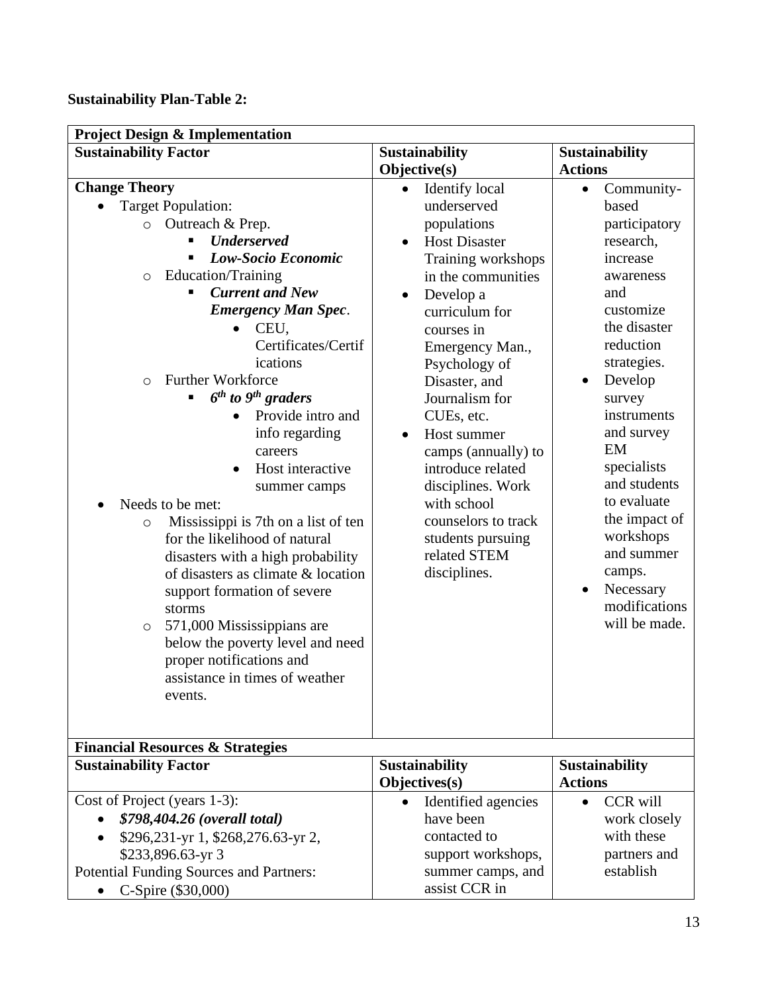# **Sustainability Plan-Table 2:**

| <b>Project Design &amp; Implementation</b>                                                                                                                                                                                                                                                                                                                                                                                   |                                                                                                                                                                                                                                                                                                                 |                                                                                                                                                                                                           |  |  |
|------------------------------------------------------------------------------------------------------------------------------------------------------------------------------------------------------------------------------------------------------------------------------------------------------------------------------------------------------------------------------------------------------------------------------|-----------------------------------------------------------------------------------------------------------------------------------------------------------------------------------------------------------------------------------------------------------------------------------------------------------------|-----------------------------------------------------------------------------------------------------------------------------------------------------------------------------------------------------------|--|--|
| <b>Sustainability Factor</b>                                                                                                                                                                                                                                                                                                                                                                                                 | <b>Sustainability</b>                                                                                                                                                                                                                                                                                           | Sustainability                                                                                                                                                                                            |  |  |
|                                                                                                                                                                                                                                                                                                                                                                                                                              | Objective(s)                                                                                                                                                                                                                                                                                                    | <b>Actions</b>                                                                                                                                                                                            |  |  |
| <b>Change Theory</b><br><b>Target Population:</b><br>Outreach & Prep.<br>$\circ$<br><b>Underserved</b><br>Low-Socio Economic<br>Education/Training<br>$\circ$<br><b>Current and New</b><br><b>Emergency Man Spec.</b><br>CEU,<br>Certificates/Certif<br>ications<br><b>Further Workforce</b><br>$\circ$<br>$6th$ to $9th$ graders<br>Provide intro and<br>info regarding                                                     | <b>Identify</b> local<br>$\bullet$<br>underserved<br>populations<br><b>Host Disaster</b><br>$\bullet$<br>Training workshops<br>in the communities<br>Develop a<br>curriculum for<br>courses in<br>Emergency Man.,<br>Psychology of<br>Disaster, and<br>Journalism for<br>CUEs, etc.<br>Host summer<br>$\bullet$ | Community-<br>$\bullet$<br>based<br>participatory<br>research,<br>increase<br>awareness<br>and<br>customize<br>the disaster<br>reduction<br>strategies.<br>Develop<br>survey<br>instruments<br>and survey |  |  |
| careers<br>Host interactive<br>summer camps<br>Needs to be met:<br>Mississippi is 7th on a list of ten<br>$\circ$<br>for the likelihood of natural<br>disasters with a high probability<br>of disasters as climate & location<br>support formation of severe<br>storms<br>571,000 Mississippians are<br>$\circ$<br>below the poverty level and need<br>proper notifications and<br>assistance in times of weather<br>events. | camps (annually) to<br>introduce related<br>disciplines. Work<br>with school<br>counselors to track<br>students pursuing<br>related STEM<br>disciplines.                                                                                                                                                        | EM<br>specialists<br>and students<br>to evaluate<br>the impact of<br>workshops<br>and summer<br>camps.<br>Necessary<br>$\bullet$<br>modifications<br>will be made.                                        |  |  |
| <b>Financial Resources &amp; Strategies</b>                                                                                                                                                                                                                                                                                                                                                                                  |                                                                                                                                                                                                                                                                                                                 |                                                                                                                                                                                                           |  |  |
| <b>Sustainability Factor</b>                                                                                                                                                                                                                                                                                                                                                                                                 | <b>Sustainability</b><br>Objectives(s)                                                                                                                                                                                                                                                                          | <b>Sustainability</b><br><b>Actions</b>                                                                                                                                                                   |  |  |
| Cost of Project (years 1-3):<br><i><b>\$798,404.26 (overall total)</b></i><br>\$296,231-yr 1, \$268,276.63-yr 2,<br>\$233,896.63-yr 3<br><b>Potential Funding Sources and Partners:</b><br>C-Spire (\$30,000)                                                                                                                                                                                                                | Identified agencies<br>have been<br>contacted to<br>support workshops,<br>summer camps, and<br>assist CCR in                                                                                                                                                                                                    | <b>CCR</b> will<br>work closely<br>with these<br>partners and<br>establish                                                                                                                                |  |  |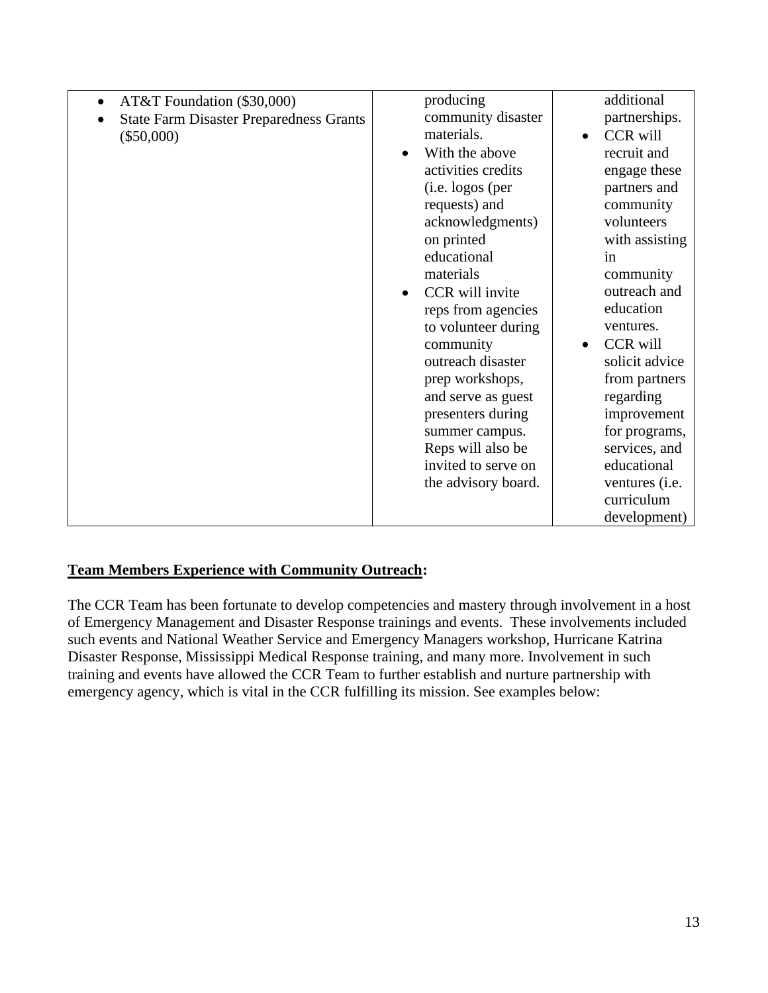| AT&T Foundation (\$30,000)<br>$\bullet$        | producing                    | additional                   |
|------------------------------------------------|------------------------------|------------------------------|
|                                                |                              |                              |
| <b>State Farm Disaster Preparedness Grants</b> | community disaster           | partnerships.                |
| $(\$50,000)$                                   | materials.                   | <b>CCR</b> will<br>$\bullet$ |
|                                                | With the above<br>$\bullet$  | recruit and                  |
|                                                | activities credits           | engage these                 |
|                                                | (i.e. logos (per             | partners and                 |
|                                                | requests) and                | community                    |
|                                                | acknowledgments)             | volunteers                   |
|                                                | on printed                   | with assisting               |
|                                                | educational                  | in                           |
|                                                | materials                    | community                    |
|                                                | CCR will invite<br>$\bullet$ | outreach and                 |
|                                                | reps from agencies           | education                    |
|                                                | to volunteer during          | ventures.                    |
|                                                | community                    | <b>CCR</b> will              |
|                                                | outreach disaster            | solicit advice               |
|                                                | prep workshops,              | from partners                |
|                                                | and serve as guest           | regarding                    |
|                                                | presenters during            | improvement                  |
|                                                | summer campus.               | for programs,                |
|                                                | Reps will also be            | services, and                |
|                                                | invited to serve on          | educational                  |
|                                                | the advisory board.          | ventures ( <i>i.e.</i>       |
|                                                |                              | curriculum                   |
|                                                |                              | development)                 |
|                                                |                              |                              |

## **Team Members Experience with Community Outreach:**

The CCR Team has been fortunate to develop competencies and mastery through involvement in a host of Emergency Management and Disaster Response trainings and events. These involvements included such events and National Weather Service and Emergency Managers workshop, Hurricane Katrina Disaster Response, Mississippi Medical Response training, and many more. Involvement in such training and events have allowed the CCR Team to further establish and nurture partnership with emergency agency, which is vital in the CCR fulfilling its mission. See examples below: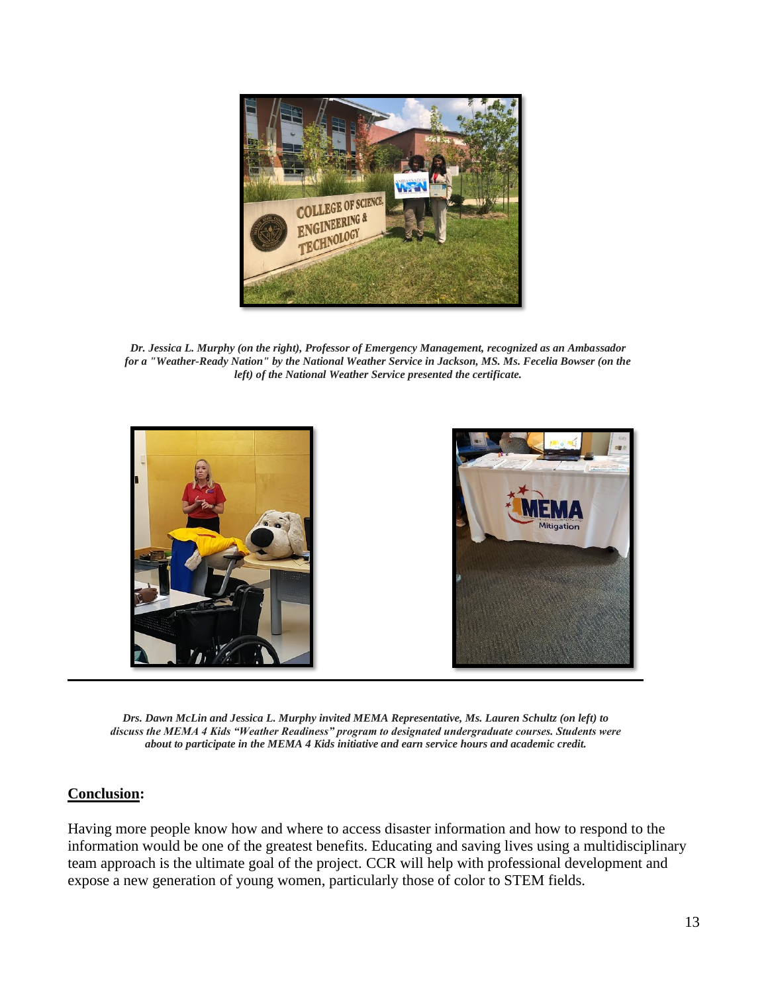

*Dr. Jessica L. Murphy (on the right), Professor of Emergency Management, recognized as an Ambassador for a "Weather-Ready Nation" by the National Weather Service in Jackson, MS. Ms. Fecelia Bowser (on the left) of the National Weather Service presented the certificate.*



*Drs. Dawn McLin and Jessica L. Murphy invited MEMA Representative, Ms. Lauren Schultz (on left) to discuss the MEMA 4 Kids "Weather Readiness" program to designated undergraduate courses. Students were about to participate in the MEMA 4 Kids initiative and earn service hours and academic credit.*

#### **Conclusion:**

Having more people know how and where to access disaster information and how to respond to the information would be one of the greatest benefits. Educating and saving lives using a multidisciplinary team approach is the ultimate goal of the project. CCR will help with professional development and expose a new generation of young women, particularly those of color to STEM fields.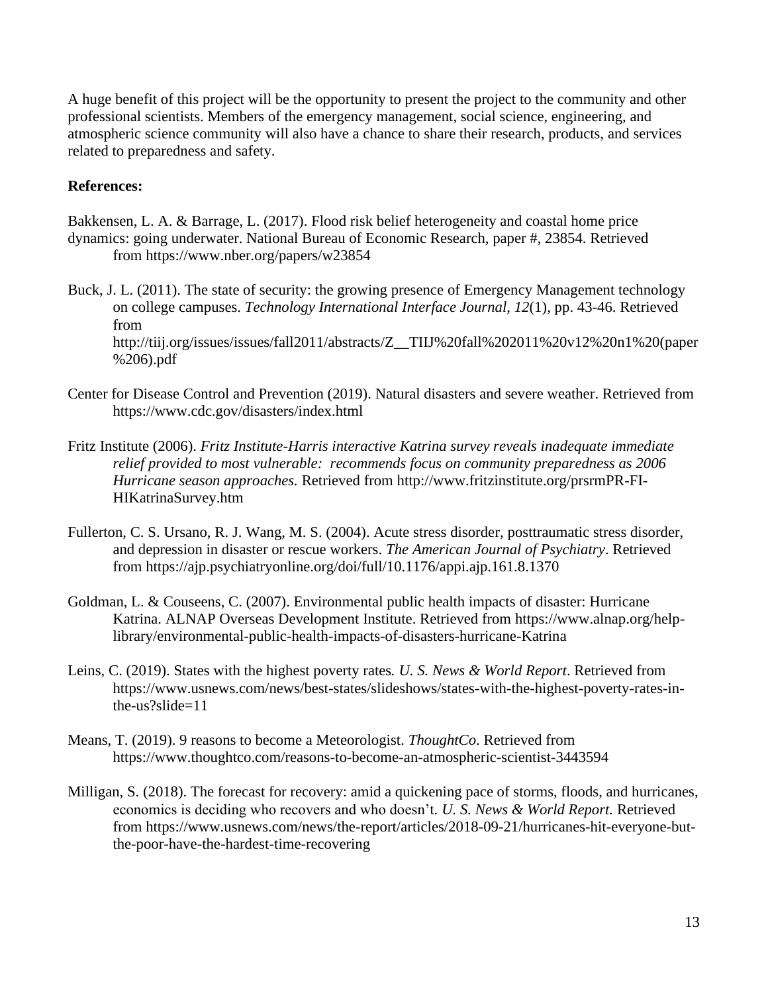A huge benefit of this project will be the opportunity to present the project to the community and other professional scientists. Members of the emergency management, social science, engineering, and atmospheric science community will also have a chance to share their research, products, and services related to preparedness and safety.

## **References:**

- Bakkensen, L. A. & Barrage, L. (2017). Flood risk belief heterogeneity and coastal home price dynamics: going underwater. National Bureau of Economic Research, paper #, 23854. Retrieved from https://www.nber.org/papers/w23854
- Buck, J. L. (2011). The state of security: the growing presence of Emergency Management technology on college campuses. *Technology International Interface Journal, 12*(1), pp. 43-46. Retrieved from http://tiij.org/issues/issues/fall2011/abstracts/Z\_\_TIIJ%20fall%202011%20v12%20n1%20(paper %206).pdf
- Center for Disease Control and Prevention (2019). Natural disasters and severe weather. Retrieved from https://www.cdc.gov/disasters/index.html
- Fritz Institute (2006). *Fritz Institute-Harris interactive Katrina survey reveals inadequate immediate relief provided to most vulnerable: recommends focus on community preparedness as 2006 Hurricane season approaches.* Retrieved from http://www.fritzinstitute.org/prsrmPR-FI-HIKatrinaSurvey.htm
- Fullerton, C. S. Ursano, R. J. Wang, M. S. (2004). Acute stress disorder, posttraumatic stress disorder, and depression in disaster or rescue workers. *The American Journal of Psychiatry*. Retrieved from https://ajp.psychiatryonline.org/doi/full/10.1176/appi.ajp.161.8.1370
- Goldman, L. & Couseens, C. (2007). Environmental public health impacts of disaster: Hurricane Katrina. ALNAP Overseas Development Institute. Retrieved from https://www.alnap.org/helplibrary/environmental-public-health-impacts-of-disasters-hurricane-Katrina
- Leins, C. (2019). States with the highest poverty rates*. U. S. News & World Report*. Retrieved from https://www.usnews.com/news/best-states/slideshows/states-with-the-highest-poverty-rates-inthe-us?slide=11
- Means, T. (2019). 9 reasons to become a Meteorologist. *ThoughtCo*. Retrieved from https://www.thoughtco.com/reasons-to-become-an-atmospheric-scientist-3443594
- Milligan, S. (2018). The forecast for recovery: amid a quickening pace of storms, floods, and hurricanes, economics is deciding who recovers and who doesn't*. U. S. News & World Report.* Retrieved from https://www.usnews.com/news/the-report/articles/2018-09-21/hurricanes-hit-everyone-butthe-poor-have-the-hardest-time-recovering